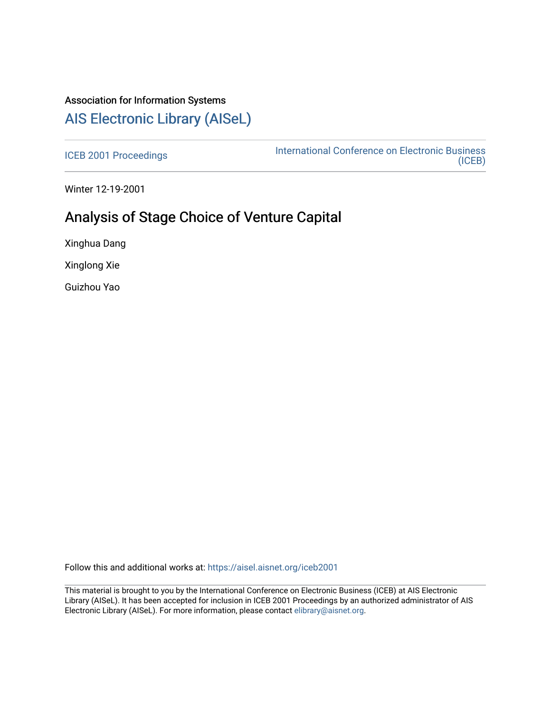# Association for Information Systems [AIS Electronic Library \(AISeL\)](https://aisel.aisnet.org/)

[ICEB 2001 Proceedings](https://aisel.aisnet.org/iceb2001) **International Conference on Electronic Business** [\(ICEB\)](https://aisel.aisnet.org/iceb) 

Winter 12-19-2001

# Analysis of Stage Choice of Venture Capital

Xinghua Dang

Xinglong Xie

Guizhou Yao

Follow this and additional works at: [https://aisel.aisnet.org/iceb2001](https://aisel.aisnet.org/iceb2001?utm_source=aisel.aisnet.org%2Ficeb2001%2F113&utm_medium=PDF&utm_campaign=PDFCoverPages)

This material is brought to you by the International Conference on Electronic Business (ICEB) at AIS Electronic Library (AISeL). It has been accepted for inclusion in ICEB 2001 Proceedings by an authorized administrator of AIS Electronic Library (AISeL). For more information, please contact [elibrary@aisnet.org.](mailto:elibrary@aisnet.org%3E)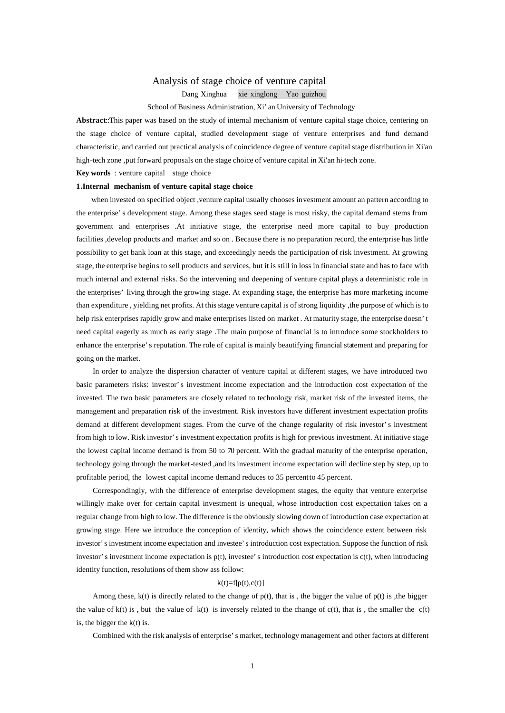## Analysis of stage choice of venture capital

Dang Xinghua xie xinglong Yao guizhou

## School of Business Administration, Xi'an University of Technology

**Abstract**::This paper was based on the study of internal mechanism of venture capital stage choice, centering on the stage choice of venture capital, studied development stage of venture enterprises and fund demand characteristic, and carried out practical analysis of coincidence degree of venture capital stage distribution in Xi'an high-tech zone ,put forward proposals on the stage choice of venture capital in Xi'an hi-tech zone.

**Key words** : venture capital stage choice

## **1.Internal mechanism of venture capital stage choice**

 when invested on specified object ,venture capital usually chooses investment amount an pattern according to the enterprise's development stage. Among these stages seed stage is most risky, the capital demand stems from government and enterprises .At initiative stage, the enterprise need more capital to buy production facilities ,develop products and market and so on . Because there is no preparation record, the enterprise has little possibility to get bank loan at this stage, and exceedingly needs the participation of risk investment. At growing stage, the enterprise begins to sell products and services, but it is still in loss in financial state and has to face with much internal and external risks. So the intervening and deepening of venture capital plays a deterministic role in the enterprises' living through the growing stage. At expanding stage, the enterprise has more marketing income than expenditure , yielding net profits. At this stage venture capital is of strong liquidity ,the purpose of which is to help risk enterprises rapidly grow and make enterprises listed on market. At maturity stage, the enterprise doesn't need capital eagerly as much as early stage .The main purpose of financial is to introduce some stockholders to enhance the enterprise's reputation. The role of capital is mainly beautifying financial statement and preparing for going on the market.

 In order to analyze the dispersion character of venture capital at different stages, we have introduced two basic parameters risks: investor's investment income expectation and the introduction cost expectation of the invested. The two basic parameters are closely related to technology risk, market risk of the invested items, the management and preparation risk of the investment. Risk investors have different investment expectation profits demand at different development stages. From the curve of the change regularity of risk investor's investment from high to low. Risk investor's investment expectation profits is high for previous investment. At initiative stage the lowest capital income demand is from 50 to 70 percent. With the gradual maturity of the enterprise operation, technology going through the market-tested ,and its investment income expectation will decline step by step, up to profitable period, the lowest capital income demand reduces to 35 percent to 45 percent.

 Correspondingly, with the difference of enterprise development stages, the equity that venture enterprise willingly make over for certain capital investment is unequal, whose introduction cost expectation takes on a regular change from high to low. The difference is the obviously slowing down of introduction case expectation at growing stage. Here we introduce the conception of identity, which shows the coincidence extent between risk investor's investment income expectation and investee's introduction cost expectation. Suppose the function of risk investor's investment income expectation is p(t), investee's introduction cost expectation is c(t), when introducing identity function, resolutions of them show ass follow:

#### $k(t)=f[p(t),c(t)]$

Among these,  $k(t)$  is directly related to the change of  $p(t)$ , that is, the bigger the value of  $p(t)$  is ,the bigger the value of  $k(t)$  is , but the value of  $k(t)$  is inversely related to the change of  $c(t)$ , that is, the smaller the  $c(t)$ is, the bigger the  $k(t)$  is.

Combined with the risk analysis of enterprise's market, technology management and other factors at different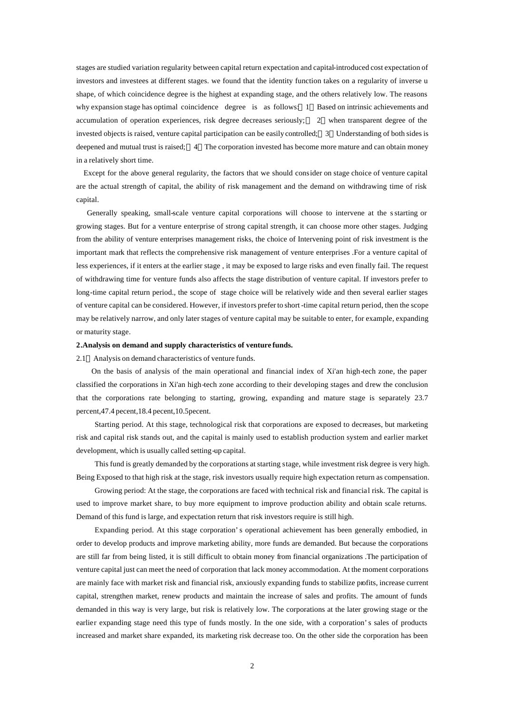stages are studied variation regularity between capital return expectation and capital-introduced cost expectation of investors and investees at different stages. we found that the identity function takes on a regularity of inverse u shape, of which coincidence degree is the highest at expanding stage, and the others relatively low. The reasons why expansion stage has optimal coincidence degree is as follows: 1 Based on intrinsic achievements and accumulation of operation experiences, risk degree decreases seriously; 2 when transparent degree of the invested objects is raised, venture capital participation can be easily controlled; 3 Understanding of both sides is deepened and mutual trust is raised; 4 The corporation invested has become more mature and can obtain money in a relatively short time.

 Except for the above general regularity, the factors that we should consider on stage choice of venture capital are the actual strength of capital, the ability of risk management and the demand on withdrawing time of risk capital.

 Generally speaking, small-scale venture capital corporations will choose to intervene at the s starting or growing stages. But for a venture enterprise of strong capital strength, it can choose more other stages. Judging from the ability of venture enterprises management risks, the choice of Intervening point of risk investment is the important mark that reflects the comprehensive risk management of venture enterprises .For a venture capital of less experiences, if it enters at the earlier stage , it may be exposed to large risks and even finally fail. The request of withdrawing time for venture funds also affects the stage distribution of venture capital. If investors prefer to long-time capital return period., the scope of stage choice will be relatively wide and then several earlier stages of venture capital can be considered. However, if investors prefer to short -time capital return period, then the scope may be relatively narrow, and only later stages of venture capital may be suitable to enter, for example, expanding or maturity stage.

## **2.Analysis on demand and supply characteristics of venture funds.**

2.1 Analysis on demand characteristics of venture funds.

 On the basis of analysis of the main operational and financial index of Xi'an high-tech zone, the paper classified the corporations in Xi'an high-tech zone according to their developing stages and drew the conclusion that the corporations rate belonging to starting, growing, expanding and mature stage is separately 23.7 percent,47.4 pecent,18.4 pecent,10.5pecent.

Starting period. At this stage, technological risk that corporations are exposed to decreases, but marketing risk and capital risk stands out, and the capital is mainly used to establish production system and earlier market development, which is usually called setting-up capital.

This fund is greatly demanded by the corporations at starting stage, while investment risk degree is very high. Being Exposed to that high risk at the stage, risk investors usually require high expectation return as compensation.

Growing period: At the stage, the corporations are faced with technical risk and financial risk. The capital is used to improve market share, to buy more equipment to improve production ability and obtain scale returns. Demand of this fund is large, and expectation return that risk investors require is still high.

Expanding period. At this stage corporation's operational achievement has been generally embodied, in order to develop products and improve marketing ability, more funds are demanded. But because the corporations are still far from being listed, it is still difficult to obtain money from financial organizations .The participation of venture capital just can meet the need of corporation that lack money accommodation. At the moment corporations are mainly face with market risk and financial risk, anxiously expanding funds to stabilize profits, increase current capital, strengthen market, renew products and maintain the increase of sales and profits. The amount of funds demanded in this way is very large, but risk is relatively low. The corporations at the later growing stage or the earlier expanding stage need this type of funds mostly. In the one side, with a corporation's sales of products increased and market share expanded, its marketing risk decrease too. On the other side the corporation has been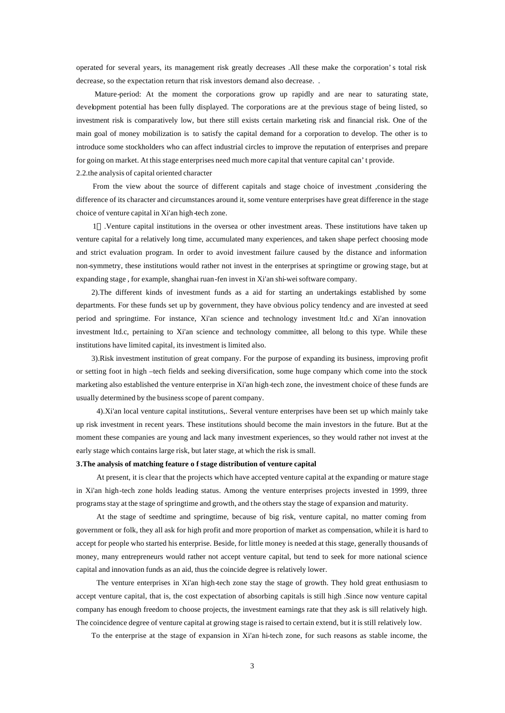operated for several years, its management risk greatly decreases .All these make the corporation's total risk decrease, so the expectation return that risk investors demand also decrease. .

Mature-period: At the moment the corporations grow up rapidly and are near to saturating state, development potential has been fully displayed. The corporations are at the previous stage of being listed, so investment risk is comparatively low, but there still exists certain marketing risk and financial risk. One of the main goal of money mobilization is to satisfy the capital demand for a corporation to develop. The other is to introduce some stockholders who can affect industrial circles to improve the reputation of enterprises and prepare for going on market. At this stage enterprises need much more capital that venture capital can't provide. 2.2.the analysis of capital oriented character

 From the view about the source of different capitals and stage choice of investment ,considering the difference of its character and circumstances around it, some venture enterprises have great difference in the stage choice of venture capital in Xi'an high-tech zone.

 1 .Venture capital institutions in the oversea or other investment areas. These institutions have taken up venture capital for a relatively long time, accumulated many experiences, and taken shape perfect choosing mode and strict evaluation program. In order to avoid investment failure caused by the distance and information non-symmetry, these institutions would rather not invest in the enterprises at springtime or growing stage, but at expanding stage , for example, shanghai ruan-fen invest in Xi'an shi-wei software company.

 2).The different kinds of investment funds as a aid for starting an undertakings established by some departments. For these funds set up by government, they have obvious policy tendency and are invested at seed period and springtime. For instance, Xi'an science and technology investment ltd.c and Xi'an innovation investment ltd.c, pertaining to Xi'an science and technology committee, all belong to this type. While these institutions have limited capital, its investment is limited also.

 3).Risk investment institution of great company. For the purpose of expanding its business, improving profit or setting foot in high –tech fields and seeking diversification, some huge company which come into the stock marketing also established the venture enterprise in Xi'an high-tech zone, the investment choice of these funds are usually determined by the business scope of parent company.

4).Xi'an local venture capital institutions,. Several venture enterprises have been set up which mainly take up risk investment in recent years. These institutions should become the main investors in the future. But at the moment these companies are young and lack many investment experiences, so they would rather not invest at the early stage which contains large risk, but later stage, at which the risk is small.

## **3.The analysis of matching feature o f stage distribution of venture capital**

At present, it is clear that the projects which have accepted venture capital at the expanding or mature stage in Xi'an high-tech zone holds leading status. Among the venture enterprises projects invested in 1999, three programs stay at the stage of springtime and growth, and the others stay the stage of expansion and maturity.

At the stage of seedtime and springtime, because of big risk, venture capital, no matter coming from government or folk, they all ask for high profit and more proportion of market as compensation, while it is hard to accept for people who started his enterprise. Beside, for little money is needed at this stage, generally thousands of money, many entrepreneurs would rather not accept venture capital, but tend to seek for more national science capital and innovation funds as an aid, thus the coincide degree is relatively lower.

The venture enterprises in Xi'an high-tech zone stay the stage of growth. They hold great enthusiasm to accept venture capital, that is, the cost expectation of absorbing capitals is still high .Since now venture capital company has enough freedom to choose projects, the investment earnings rate that they ask is sill relatively high. The coincidence degree of venture capital at growing stage is raised to certain extend, but it is still relatively low.

To the enterprise at the stage of expansion in Xi'an hi-tech zone, for such reasons as stable income, the